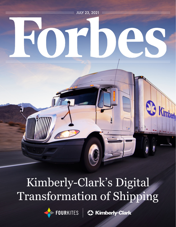

# Kimberly-Clark's Digital Transformation of Shipping

FOURKITES **C3 Kimberly-Clark**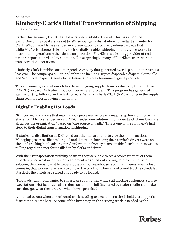### **Kimberly-Clark's Digital Transformation of Shipping**

By Steve Banker

Earlier this summer, FourKites held a Carrier Visibility Summit. This was an online event. One of the speakers was Abby Weisenberger, a distribution consultant at Kimberly-Clark. What made Ms. Weisenberger's presentation particularly interesting was that while Ms. Weisenberger is leading their digitally enabled shipping initiative, she works in distribution operations rather than transportation. FourKites is a leading provider of realtime transportation visibility solutions. Not surprisingly, many of FourKites' users work in transportation operations.

Kimberly-Clark is public consumer goods company that generated over \$19 billion in revenues last year. The company's billion-dollar brands include Huggies disposable diapers, Cottonelle and Scott toilet paper; Kleenex facial tissue: and Kotex feminine hygiene products.

This consumer goods behemoth has driven ongoing supply chain productivity through their FORCE (Focused On Reducing Costs Everywhere) program. This program has generated savings of \$3.5 billion over the last 10 years. What Kimberly-Clark (K-C) is doing in the supply chain realm is worth paying attention to.

#### **Digitally Enabling Hot Loads**

"Kimberly-Clark knows that making your processes visible is a major step toward improving efficiency," Ms. Weisenberger said. "K-C needed one solution … to understand where loads are all across the organization" based on "one source of truth." This is one of the company's first steps to their digital transformation in shipping.

Historically, distribution at K-C relied on other departments to give them information. Managing processes like trailer pool and detention, how long their carrier's drivers were on site, and tracking hot loads, required information from systems outside distribution as well as pulling together paper forms filled in by clerks or drivers.

With their transportation visibility solution they were able to see a scorecard that let them proactively see what inventory on a shipment was at risk of arriving late. With the visibility solution, the company is able to develop a plan for warehouse labor that insures when a load comes in, that workers are ready to unload the truck, or when an outbound truck is scheduled at a dock, the pallets are staged and ready to be loaded.

"Hot loads" allow companies to run a lean supply chain while still meeting customers' service expectations. Hot loads can also reduce on-time-in-full fines used by major retailers to make sure they get what they ordered when it was promised.

A hot load occurs when an outbound truck heading to a customer's site is held at a shipper's distribution center because some of the inventory on the arriving truck is needed by the

## **Forbes**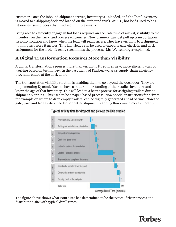customer. Once the inbound shipment arrives, inventory is unloaded, and the "hot" inventory is moved to a shipping dock and loaded on the outbound truck. At K-C, hot loads used to be a labor-intensive process that involved multiple emails.

Being able to efficiently engage in hot loads requires an accurate time of arrival, visibility to the inventory on the truck, and process efficiencies. Now planners can just pull up transportation visibility solution and know when the load will really arrive. They have visibility to a shipment 30 minutes before it arrives. This knowledge can be used to expedite gate check-in and dock assignment for the load. "It really streamlines the process," Ms. Weisenberger explained.

#### **A Digital Transformation Requires More than Visibility**

A digital transformation requires more than visibility. It requires new, more efficient ways of working based on technology. In the past many of Kimberly-Clark's supply chain efficiency programs ended at the dock door.

The transportation visibility solution is enabling them to go beyond the dock door. They are implementing Dynamic Yard to have a better understanding of their trailer inventory and know the age of that inventory. This will lead to a better process for assigning trailers during shipment planning. This used to be a paper-based process. Now special instructions for drivers, for example on where to drop empty trailers, can be digitally generated ahead of time. Now the gate, yard and facility data needed for better shipment planning flows much more smoothly.



The figure above shows what FourKites has determined to be the typical driver process at a distribution site with typical dwell times.

## Forbes